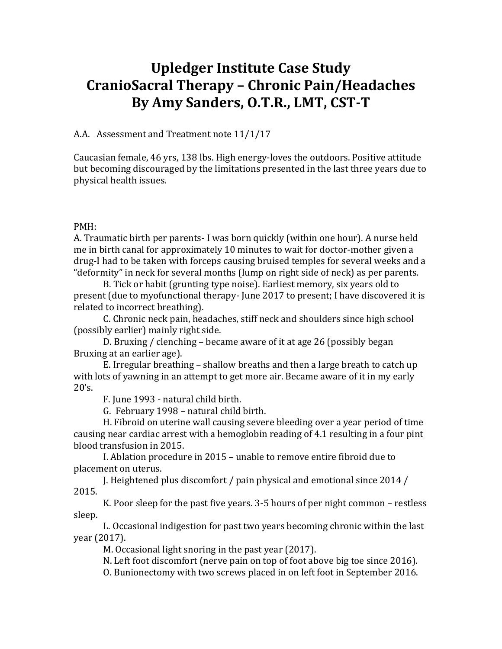# **Upledger Institute Case Study CranioSacral Therapy – Chronic Pain/Headaches By Amy Sanders, O.T.R., LMT, CST‐T**

A.A. Assessment and Treatment note 11/1/17

Caucasian female, 46 yrs, 138 lbs. High energy-loves the outdoors. Positive attitude but becoming discouraged by the limitations presented in the last three years due to physical health issues.

#### PMH:

A. Traumatic birth per parents- I was born quickly (within one hour). A nurse held me in birth canal for approximately 10 minutes to wait for doctor-mother given a drug-I had to be taken with forceps causing bruised temples for several weeks and a "deformity" in neck for several months (lump on right side of neck) as per parents.

 B. Tick or habit (grunting type noise). Earliest memory, six years old to present (due to myofunctional therapy- June 2017 to present; I have discovered it is related to incorrect breathing).

 C. Chronic neck pain, headaches, stiff neck and shoulders since high school (possibly earlier) mainly right side.

 D. Bruxing / clenching – became aware of it at age 26 (possibly began Bruxing at an earlier age).

 E. Irregular breathing – shallow breaths and then a large breath to catch up with lots of yawning in an attempt to get more air. Became aware of it in my early  $20's.$ 

F. June 1993 - natural child birth.

G. February 1998 – natural child birth.

 H. Fibroid on uterine wall causing severe bleeding over a year period of time causing near cardiac arrest with a hemoglobin reading of 4.1 resulting in a four pint blood transfusion in 2015.

 I. Ablation procedure in 2015 – unable to remove entire fibroid due to placement on uterus.

 J. Heightened plus discomfort / pain physical and emotional since 2014 / 2015.

 K. Poor sleep for the past five years. 3-5 hours of per night common – restless sleep.

 L. Occasional indigestion for past two years becoming chronic within the last year (2017).

M. Occasional light snoring in the past year (2017).

N. Left foot discomfort (nerve pain on top of foot above big toe since 2016).

O. Bunionectomy with two screws placed in on left foot in September 2016.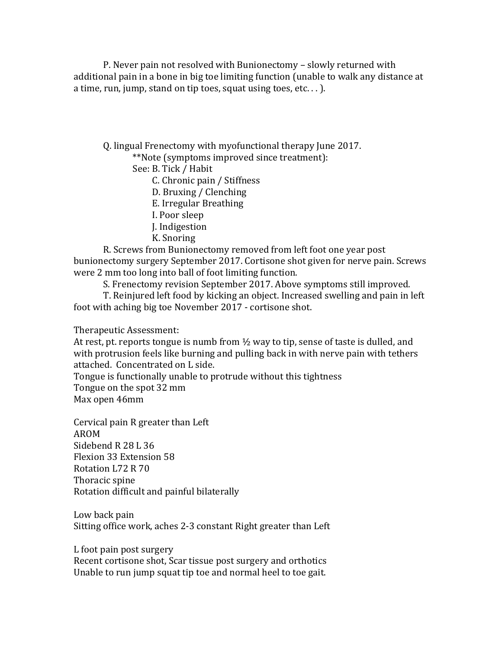P. Never pain not resolved with Bunionectomy – slowly returned with additional pain in a bone in big toe limiting function (unable to walk any distance at a time, run, jump, stand on tip toes, squat using toes, etc...).

Q. lingual Frenectomy with myofunctional therapy June 2017.

\*\*Note (symptoms improved since treatment):

See: B. Tick / Habit

C. Chronic pain / Stiffness

D. Bruxing / Clenching

E. Irregular Breathing

I. Poor sleep

J. Indigestion

K. Snoring

 R. Screws from Bunionectomy removed from left foot one year post bunionectomy surgery September 2017. Cortisone shot given for nerve pain. Screws were 2 mm too long into ball of foot limiting function.

S. Frenectomy revision September 2017. Above symptoms still improved.

 T. Reinjured left food by kicking an object. Increased swelling and pain in left foot with aching big toe November 2017 - cortisone shot.

Therapeutic Assessment:

At rest, pt. reports tongue is numb from  $\frac{1}{2}$  way to tip, sense of taste is dulled, and with protrusion feels like burning and pulling back in with nerve pain with tethers attached. Concentrated on L side.

Tongue is functionally unable to protrude without this tightness Tongue on the spot 32 mm

Max open 46mm

Cervical pain R greater than Left AROM Sidebend R 28 L 36 Flexion 33 Extension 58 Rotation L72 R 70 Thoracic spine Rotation difficult and painful bilaterally

Low back pain Sitting office work, aches 2-3 constant Right greater than Left

L foot pain post surgery

Recent cortisone shot, Scar tissue post surgery and orthotics Unable to run jump squat tip toe and normal heel to toe gait.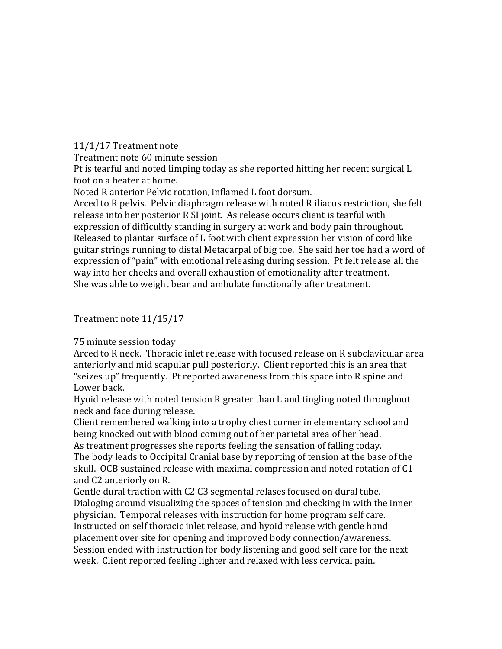### 11/1/17 Treatment note

Treatment note 60 minute session

Pt is tearful and noted limping today as she reported hitting her recent surgical L foot on a heater at home.

Noted R anterior Pelvic rotation, inflamed L foot dorsum.

Arced to R pelvis. Pelvic diaphragm release with noted R iliacus restriction, she felt release into her posterior R SI joint. As release occurs client is tearful with expression of difficultly standing in surgery at work and body pain throughout. Released to plantar surface of L foot with client expression her vision of cord like guitar strings running to distal Metacarpal of big toe. She said her toe had a word of expression of "pain" with emotional releasing during session. Pt felt release all the way into her cheeks and overall exhaustion of emotionality after treatment. She was able to weight bear and ambulate functionally after treatment.

## Treatment note 11/15/17

### 75 minute session today

Arced to R neck. Thoracic inlet release with focused release on R subclavicular area anteriorly and mid scapular pull posteriorly. Client reported this is an area that "seizes up" frequently. Pt reported awareness from this space into R spine and Lower back.

Hyoid release with noted tension R greater than L and tingling noted throughout neck and face during release.

Client remembered walking into a trophy chest corner in elementary school and being knocked out with blood coming out of her parietal area of her head.

As treatment progresses she reports feeling the sensation of falling today. The body leads to Occipital Cranial base by reporting of tension at the base of the

skull. OCB sustained release with maximal compression and noted rotation of C1 and C2 anteriorly on R.

Gentle dural traction with C2 C3 segmental relases focused on dural tube. Dialoging around visualizing the spaces of tension and checking in with the inner physician. Temporal releases with instruction for home program self care. Instructed on self thoracic inlet release, and hyoid release with gentle hand placement over site for opening and improved body connection/awareness. Session ended with instruction for body listening and good self care for the next week. Client reported feeling lighter and relaxed with less cervical pain.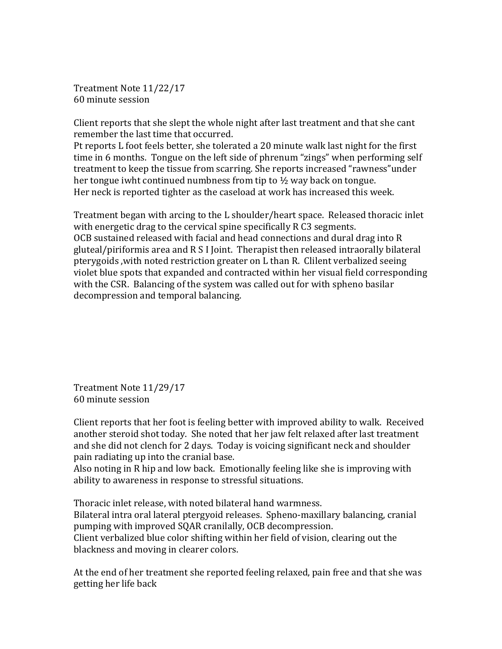Treatment Note 11/22/17 60 minute session

Client reports that she slept the whole night after last treatment and that she cant remember the last time that occurred.

Pt reports L foot feels better, she tolerated a 20 minute walk last night for the first time in 6 months. Tongue on the left side of phrenum "zings" when performing self treatment to keep the tissue from scarring. She reports increased "rawness"under her tongue iwht continued numbness from tip to  $\frac{1}{2}$  way back on tongue. Her neck is reported tighter as the caseload at work has increased this week.

Treatment began with arcing to the L shoulder/heart space. Released thoracic inlet with energetic drag to the cervical spine specifically R C3 segments. OCB sustained released with facial and head connections and dural drag into R gluteal/piriformis area and R S I Joint. Therapist then released intraorally bilateral pterygoids ,with noted restriction greater on L than R. Clilent verbalized seeing violet blue spots that expanded and contracted within her visual field corresponding with the CSR. Balancing of the system was called out for with spheno basilar decompression and temporal balancing.

Treatment Note 11/29/17 60 minute session

Client reports that her foot is feeling better with improved ability to walk. Received another steroid shot today. She noted that her jaw felt relaxed after last treatment and she did not clench for 2 days. Today is voicing significant neck and shoulder pain radiating up into the cranial base.

Also noting in R hip and low back. Emotionally feeling like she is improving with ability to awareness in response to stressful situations.

Thoracic inlet release, with noted bilateral hand warmness. Bilateral intra oral lateral ptergyoid releases. Spheno-maxillary balancing, cranial pumping with improved SQAR cranilally, OCB decompression. Client verbalized blue color shifting within her field of vision, clearing out the blackness and moving in clearer colors.

At the end of her treatment she reported feeling relaxed, pain free and that she was getting her life back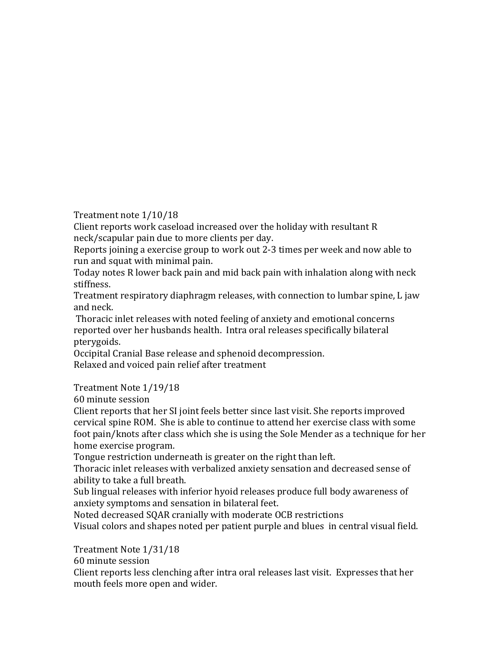Treatment note 1/10/18

Client reports work caseload increased over the holiday with resultant R neck/scapular pain due to more clients per day.

Reports joining a exercise group to work out 2-3 times per week and now able to run and squat with minimal pain.

Today notes R lower back pain and mid back pain with inhalation along with neck stiffness.

Treatment respiratory diaphragm releases, with connection to lumbar spine, L jaw and neck.

 Thoracic inlet releases with noted feeling of anxiety and emotional concerns reported over her husbands health. Intra oral releases specifically bilateral pterygoids.

Occipital Cranial Base release and sphenoid decompression. Relaxed and voiced pain relief after treatment

Treatment Note 1/19/18

60 minute session

Client reports that her SI joint feels better since last visit. She reports improved cervical spine ROM. She is able to continue to attend her exercise class with some foot pain/knots after class which she is using the Sole Mender as a technique for her home exercise program.

Tongue restriction underneath is greater on the right than left.

Thoracic inlet releases with verbalized anxiety sensation and decreased sense of ability to take a full breath.

Sub lingual releases with inferior hyoid releases produce full body awareness of anxiety symptoms and sensation in bilateral feet.

Noted decreased SQAR cranially with moderate OCB restrictions Visual colors and shapes noted per patient purple and blues in central visual field.

Treatment Note 1/31/18

60 minute session

Client reports less clenching after intra oral releases last visit. Expresses that her mouth feels more open and wider.